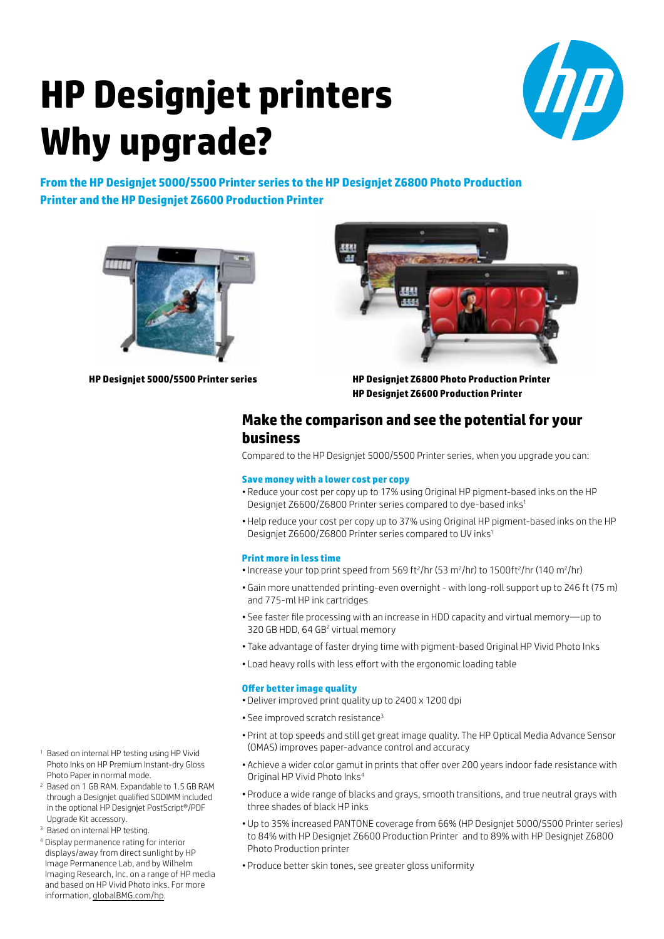# **HP Designjet printers Why upgrade?**



**From the HP Designjet 5000/5500 Printer series to the HP Designjet Z6800 Photo Production Printer and the HP Designjet Z6600 Production Printer**





**HP Designjet 5000/5500 Printer series**

**HP Designjet Z6800 Photo Production Printer HP Designjet Z6600 Production Printer**

### **Make the comparison and see the potential for your business**

Compared to the HP Designjet 5000/5500 Printer series, when you upgrade you can:

#### **Save money with a lower cost per copy**

- Reduce your cost per copy up to 17% using Original HP pigment-based inks on the HP Designjet Z6600/Z6800 Printer series compared to dye-based inks1
- Help reduce your cost per copy up to 37% using Original HP pigment-based inks on the HP Designjet Z6600/Z6800 Printer series compared to UV inks1

#### **Print more in less time**

- Increase your top print speed from 569 ft<sup>2</sup>/hr (53 m<sup>2</sup>/hr) to 1500ft<sup>2</sup>/hr (140 m<sup>2</sup>/hr)
- Gain more unattended printing-even overnight with long-roll support up to 246 ft (75 m) and 775-ml HP ink cartridges
- See faster file processing with an increase in HDD capacity and virtual memory—up to 320 GB HDD, 64 GB<sup>2</sup> virtual memory
- Take advantage of faster drying time with pigment-based Original HP Vivid Photo Inks
- Load heavy rolls with less effort with the ergonomic loading table

#### **Offer better image quality**

- Deliver improved print quality up to 2400 x 1200 dpi
- See improved scratch resistance<sup>3</sup>
- Print at top speeds and still get great image quality. The HP Optical Media Advance Sensor (OMAS) improves paper-advance control and accuracy
- Achieve a wider color gamut in prints that offer over 200 years indoor fade resistance with Original HP Vivid Photo Inks4
- Produce a wide range of blacks and grays, smooth transitions, and true neutral grays with three shades of black HP inks
- Up to 35% increased PANTONE coverage from 66% (HP Designjet 5000/5500 Printer series) to 84% with HP Designjet Z6600 Production Printer and to 89% with HP Designjet Z6800 Photo Production printer
- Produce better skin tones, see greater gloss uniformity
- <sup>1</sup> Based on internal HP testing using HP Vivid Photo Inks on HP Premium Instant-dry Gloss Photo Paper in normal mode.
- <sup>2</sup> Based on 1 GB RAM. Expandable to 1.5 GB RAM through a Designjet qualified SODIMM included in the optional HP Designjet PostScript®/PDF Upgrade Kit accessory.
- <sup>3</sup> Based on internal HP testing.
- <sup>4</sup> Display permanence rating for interior displays/away from direct sunlight by HP Image Permanence Lab, and by Wilhelm Imaging Research, Inc. on a range of HP media and based on HP Vivid Photo inks. For more information, [globalBMG.com/hp.](www.globalBMG.com/hp)